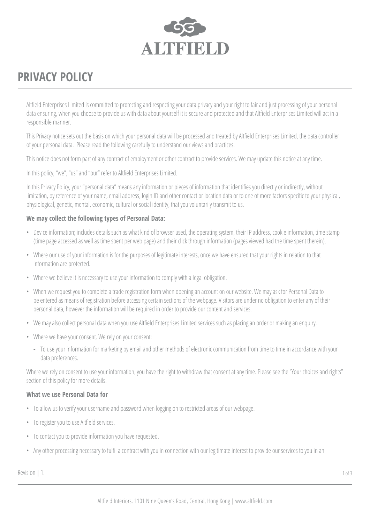

# **PRIVACY POLICY**

Altfield Enterprises Limited is committed to protecting and respecting your data privacy and your right to fair and just processing of your personal data ensuring, when you choose to provide us with data about yourself it is secure and protected and that Altfield Enterprises Limited will act in a responsible manner.

This Privacy notice sets out the basis on which your personal data will be processed and treated by Altfield Enterprises Limited, the data controller of your personal data. Please read the following carefully to understand our views and practices.

This notice does not form part of any contract of employment or other contract to provide services. We may update this notice at any time.

In this policy, "we", "us" and "our" refer to Altfield Enterprises Limited.

In this Privacy Policy, your "personal data" means any information or pieces of information that identifies you directly or indirectly, without limitation, by reference of your name, email address, login ID and other contact or location data or to one of more factors specific to your physical, physiological, genetic, mental, economic, cultural or social identity, that you voluntarily transmit to us.

### **We may collect the following types of Personal Data:**

- Device information; includes details such as what kind of browser used, the operating system, their IP address, cookie information, time stamp (time page accessed as well as time spent per web page) and their click through information (pages viewed had the time spent therein).
- Where our use of your information is for the purposes of legitimate interests, once we have ensured that your rights in relation to that information are protected.
- Where we believe it is necessary to use your information to comply with a legal obligation.
- When we request you to complete a trade registration form when opening an account on our website. We may ask for Personal Data to be entered as means of registration before accessing certain sections of the webpage. Visitors are under no obligation to enter any of their personal data, however the information will be required in order to provide our content and services.
- We may also collect personal data when you use Altfield Enterprises Limited services such as placing an order or making an enquiry.
- Where we have your consent. We rely on your consent:
	- **-** To use your information for marketing by email and other methods of electronic communication from time to time in accordance with your data preferences.

Where we rely on consent to use your information, you have the right to withdraw that consent at any time. Please see the "Your choices and rights" section of this policy for more details.

#### **What we use Personal Data for**

- To allow us to verify your username and password when logging on to restricted areas of our webpage.
- To register you to use Altfield services.
- To contact you to provide information you have requested.
- Any other processing necessary to fulfil a contract with you in connection with our legitimate interest to provide our services to you in an

 $\textsf{Revision} \mid 1.$  1 of 3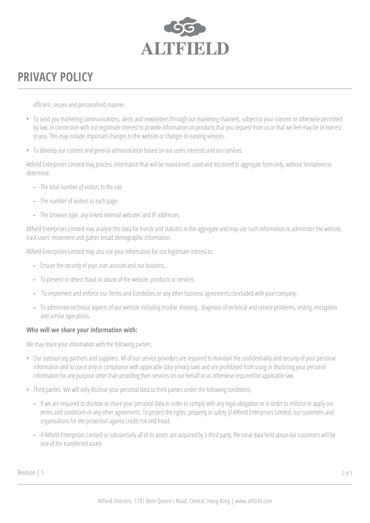

# **PRIVACY POLICY**

efficient, secure and personalised manner.

- To send you marketing communications, alerts and newsletters through our marketing channels, subject to your consent or otherwise permitted by law, in connection with our legitimate interest to provide information on products that you request from us or that we feel may be of interest to you. This may include important changes to the website or changes to existing services.
- To develop our content and general administration based on our users interests and our services.

Altfield Enterprises Limited may process information that will be maintained, used and disclosed in aggregate form only, without limitations to determine:

- **-** The total number of visitors to the site.
- **-** The number of visitors to each page.
- **-** The browser type, any linked external websites and IP addresses.

Altfield Enterprises Limited may analyse this data for trends and statistics in the aggregate and may use such information to administer the website, track users' movement and gather broad demographic information.

Altfield Enterprises Limited may also use your information for our legitimate interest to:

- **-** Ensure the security of your user account and our business.
- **-** To prevent or detect fraud or abuse of the website, products or services.
- **-** To implement and enforce our Terms and Conditions or any other business agreements concluded with your company.
- **-** To administer technical aspects of our website including trouble shooting , diagnosis of technical and service problems, testing, encryption and similar operations.

#### **Who will we share your information with:**

We may share your information with the following parties:

- Our outsourcing partners and suppliers. All of our service providers are required to maintain the confidentiality and security of your personal information and to use it only in compliance with applicable data privacy laws and are prohibited from using or disclosing your personal information for any purpose other than providing their services on our behalf or as otherwise required be applicable law.
- Third parties. We will only disclose your personal data to third parties under the following conditions;
	- **-** If we are required to disclose or share your personal data in order to comply with any legal obligation or in order to enforce or apply our terms and conditions or any other agreements. To protect the rights, property or safety of Altfield Enterprises Limited, our customers and organisations for the protection against credit risk and fraud.
	- **-** If Altfield Enterprises Limited or substantially all of its assets are acquired by a third party. Personal data held about our customers will be one of the transferred assets

Revision | 1. 2 of 3